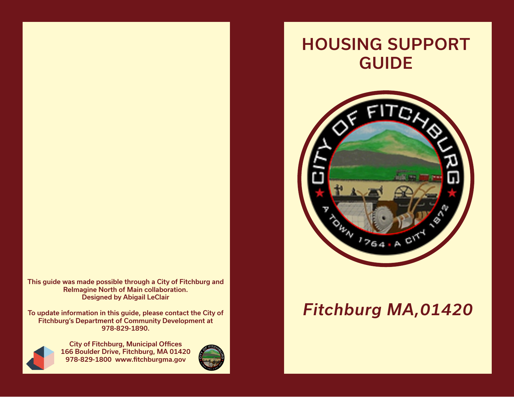This guide was made possible through a City of Fitchburg and ReImagine North of Main collaboration. Designed by Abigail LeClair

To update information in this guide, please contact the City of Fitchburg's Department of Community Development at 978-829-1890.



City of Fitchburg, Municipal Offices 166 Boulder Drive, Fitchburg, MA 01420 978-829-1800 www.fitchburgma.gov



## HOUSING SUPPORT GUIDE



## *Fitchburg MA,01420*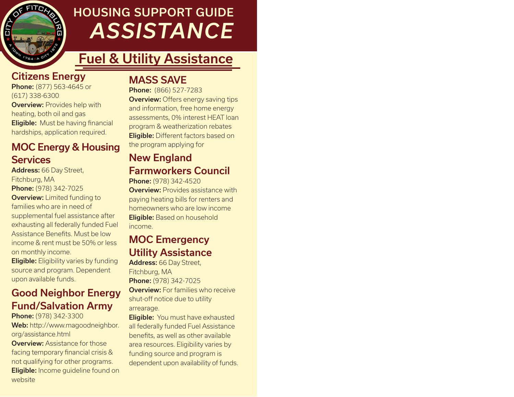

## HOUSING SUPPORT GUIDE *ASSISTANCE*

## Fuel & Utility Assistance

#### Citizens Energy

**Phone:** (877) 563-4645 or (617) 338-6300 **Overview: Provides help with** heating, both oil and gas **Eligible:** Must be having financial hardships, application required.

#### MOC Energy & Housing **Services**

Address: 66 Day Street, Fitchburg, MA Phone: (978) 342-7025 **Overview:** Limited funding to families who are in need of supplemental fuel assistance after exhausting all federally funded Fuel Assistance Benefits. Must be low income & rent must be 50% or less on monthly income.

**Eligible:** Eligibility varies by funding source and program. Dependent upon available funds.

### Good Neighbor Energy Fund/Salvation Army

Phone: (978) 342-3300

Web: http://www.magoodneighbor. org/assistance.html

**Overview: Assistance for those** facing temporary financial crisis & not qualifying for other programs. **Eligible:** Income guideline found on website

#### MASS SAVE

Phone: (866) 527-7283 **Overview:** Offers energy saving tips and information, free home energy assessments, 0% interest HEAT loan program & weatherization rebates **Eligible:** Different factors based on the program applying for

### New England Farmworkers Council

Phone: (978) 342-4520 **Overview:** Provides assistance with paying heating bills for renters and homeowners who are low income **Eligible:** Based on household income.

#### MOC Emergency Utility Assistance

Address: 66 Day Street, Fitchburg, MA Phone: (978) 342-7025 **Overview:** For families who receive shut-off notice due to utility arrearage.

**Eligible:** You must have exhausted all federally funded Fuel Assistance benefits, as well as other available area resources. Eligibility varies by funding source and program is dependent upon availability of funds.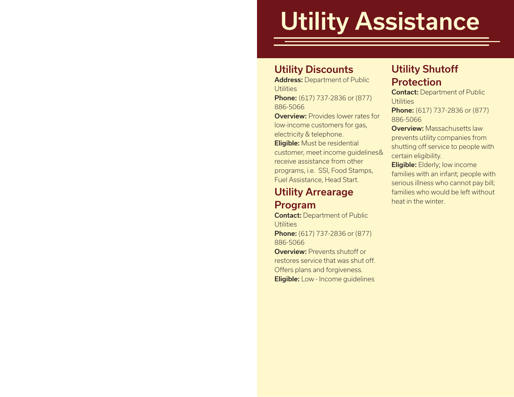# Utility Assistance

#### Utility Discounts

Address: Department of Public **Utilities Phone:** (617) 737-2836 or (877)

886-5066

**Overview: Provides lower rates for** low-income customers for gas, electricity & telephone.

Eligible: Must be residential customer, meet income guidelines& receive assistance from other programs, i.e. SSI, Food Stamps, Fuel Assistance, Head Start.

#### Utility Arrearage Program

Contact: Department of Public **Utilities** 

**Phone:** (617) 737-2836 or (877) 886-5066

**Overview: Prevents shutoff or** restores service that was shut off. Offers plans and forgiveness. Eligible: Low - Income guidelines

### Utility Shutoff Protection

Contact: Department of Public **Utilities** 

**Phone:** (617) 737-2836 or (877) 886-5066

Overview: Massachusetts law prevents utility companies from shutting off service to people with certain eligibility.

Eligible: Elderly; low income families with an infant; people with serious illness who cannot pay bill; families who would be left without heat in the winter.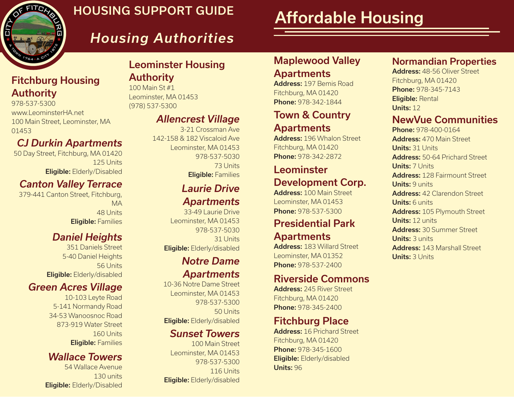

### HOUSING SUPPORT GUIDE

Authority 100 Main St #1

(978) 537-5300

## Affordable Housing

## *Housing Authorities*

Leominster, MA 01453

## Leominster Housing

*Allencrest Village*

142-158 & 182 Viscaloid Ave Leominster, MA 01453

#### Apartments

Address: 197 Bemis Road Fitchburg, MA 01420 Phone: 978-342-1844

Maplewood Valley

#### Town & Country **Apartments**

Address: 196 Whalon Street Fitchburg, MA 01420 Phone: 978-342-2872

#### Leominster Development Corp.

Address: 100 Main Street Leominster, MA 01453 Phone: 978-537-5300

#### Presidential Park Apartments

Address: 183 Willard Street Leominster, MA 01352 Phone: 978-537-2400

#### Riverside Commons

Address: 245 River Street Fitchburg, MA 01420 Phone: 978-345-2400

### Fitchburg Place

Address: 16 Prichard Street Fitchburg, MA 01420 Phone: 978-345-1600 Eligible: Elderly/disabled Units: 96

#### Normandian Properties

Address: 48-56 Oliver Street Fitchburg, MA 01420 Phone: 978-345-7143 Eligible: Rental Units: 12

#### NewVue Communities

Phone: 978-400-0164 Address: 470 Main Street Units: 31 Units Address: 50-64 Prichard Street Units: 7 Units Address: 128 Fairmount Street Units: 9 units Address: 42 Clarendon Street Units: 6 units Address: 105 Plymouth Street Units: 12 units Address: 30 Summer Street Units: 3 units Address: 143 Marshall Street Units: 3 Units

#### Fitchburg Housing Authority

978-537-5300 www.LeominsterHA.net 100 Main Street, Leominster, MA 01453

#### *CJ Durkin Apartments*

50 Day Street, Fitchburg, MA 01420 125 Units Eligible: Elderly/Disabled

#### *Canton Valley Terrace*

379-441 Canton Street, Fitchburg, MA 48 Units Eligible: Families

### *Daniel Heights*

351 Daniels Street 5-40 Daniel Heights 56 Units Eligible: Elderly/disabled

#### *Green Acres Village*

10-103 Leyte Road 5-141 Normandy Road 34-53 Wanoosnoc Road 873-919 Water Street 160 Units Eligible: Families

#### *Wallace Towers*

54 Wallace Avenue 130 units Eligible: Elderly/Disabled

#### Eligible: Elderly/disabled *Notre Dame Apartments*

*Laurie Drive* 

Eligible: Families

3-21 Crossman Ave

978-537-5030

73 Units

*Apartments* 33-49 Laurie Drive Leominster, MA 01453

978-537-5030

31 Units

10-36 Notre Dame Street Leominster, MA 01453 978-537-5300 50 Units Eligible: Elderly/disabled

#### *Sunset Towers*

100 Main Street Leominster, MA 01453 978-537-5300 116 Units Eligible: Elderly/disabled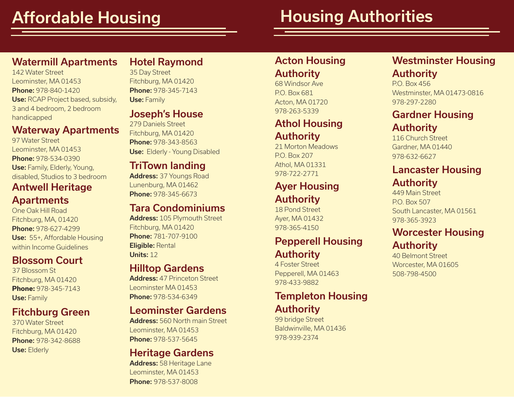## Housing Authorities

#### Watermill Apartments

142 Water Street Leominster, MA 01453 Phone: 978-840-1420 Use: RCAP Project based, subsidy, 3 and 4 bedroom, 2 bedroom handicapped

#### Waterway Apartments

97 Water Street Leominster, MA 01453 Phone: 978-534-0390 Use: Family, Elderly, Young, disabled, Studios to 3 bedroom

#### Antwell Heritage **Apartments**

One Oak Hill Road Fitchburg, MA, 01420 Phone: 978-627-4299 Use: 55+, Affordable Housing within Income Guidelines

#### Blossom Court

37 Blossom St Fitchburg, MA 01420 **Phone:** 978-345-7143 Use: Family

#### Fitchburg Green

370 Water Street Fitchburg, MA 01420 Phone: 978-342-8688 Use: Elderly

#### Hotel Raymond

35 Day Street Fitchburg, MA 01420 Phone: 978-345-7143 Use: Family

#### Joseph's House

279 Daniels Street Fitchburg, MA 01420 Phone: 978-343-8563 **Use:** Elderly - Young Disabled

#### TriTown landing

Address: 37 Youngs Road Lunenburg, MA 01462 Phone: 978-345-6673

#### Tara Condominiums

Address: 105 Plymouth Street Fitchburg, MA 01420 Phone: 781-707-9100 Eligible: Rental Units: 12

#### Hilltop Gardens

Address: 47 Princeton Street Leominster MA 01453 Phone: 978-534-6349

#### Leominster Gardens

Address: 560 North main Street Leominster, MA 01453 Phone: 978-537-5645

#### Heritage Gardens

Address: 58 Heritage Lane Leominster, MA 01453 Phone: 978-537-8008

### Acton Housing

#### Authority

68 Windsor Ave P.O. Box 681 Acton, MA 01720

#### Athol Housing

#### Authority

21 Morton Meadows P.O. Box 207 Athol, MA 01331 978-722-2771

#### Ayer Housing Authority

18 Pond Street Ayer, MA 01432 978-365-4150

#### Pepperell Housing Authority

4 Foster Street Pepperell, MA 01463 978-433-9882

#### Templeton Housing Authority

99 bridge Street Baldwinville, MA 01436 978-939-2374

#### Westminster Housing Authority

P.O. Box 456 Westminster, MA 01473-0816 978-297-2280

### **978-263-5339 Gardner Housing** Authority

116 Church Street Gardner, MA 01440 978-632-6627

#### Lancaster Housing Authority

449 Main Street P.O. Box 507 South Lancaster, MA 01561 978-365-3923

#### Worcester Housing Authority

40 Belmont Street Worcester, MA 01605 508-798-4500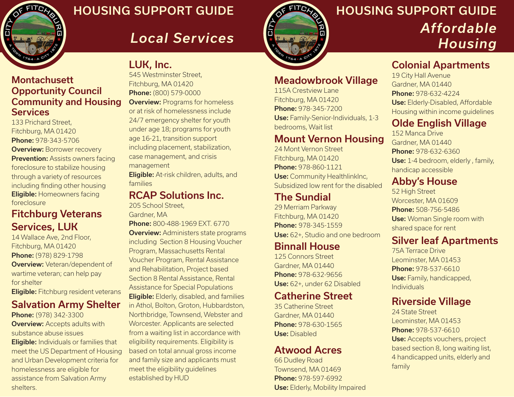

### HOUSING SUPPORT GUIDE

*Local Services*



## HOUSING SUPPORT GUIDE *Affordable Housing*

#### Colonial Apartments

19 City Hall Avenue Gardner, MA 01440 Phone: 978-632-4224 Use: Elderly-Disabled, Affordable Housing within income guidelines

#### Olde English Village

152 Manca Drive Gardner, MA 01440 Phone: 978-632-6360 Use: 1-4 bedroom, elderly, family, handicap accessible

#### Abby's House

52 High Street Worcester, MA 01609 Phone: 508-756-5486 **Use:** Woman Single room with shared space for rent

#### Silver leaf Apartments

75A Terrace Drive Leominster, MA 01453 Phone: 978-537-6610 Use: Family, handicapped, Individuals

#### Riverside Village

24 State Street Leominster, MA 01453 Phone: 978-537-6610 Use: Accepts vouchers, project based section 8, long waiting list, 4 handicapped units, elderly and family

#### **Montachusett** Opportunity Council Community and Housing **Services**

133 Prichard Street, Fitchburg, MA 01420 Phone: 978-343-5706 **Overview: Borrower recovery Prevention:** Assists owners facing foreclosure to stabilize housing through a variety of resources including finding other housing Eligible: Homeowners facing foreclosure

#### Fitchburg Veterans Services, LUK

14 Wallace Ave, 2nd Floor, Fitchburg, MA 01420 Phone: (978) 829-1798 **Overview:** Veteran/dependent of wartime veteran; can help pay for shelter

Eligible: Fitchburg resident veterans

#### Salvation Army Shelter

Phone: (978) 342-3300 **Overview:** Accepts adults with substance abuse issues

**Eligible:** Individuals or families that meet the US Department of Housing and Urban Development criteria for homelessness are eligible for assistance from Salvation Army shelters.

#### LUK, Inc.

545 Westminster Street, Fitchburg, MA 01420 Phone: (800) 579-0000 **Overview: Programs for homeless** or at risk of homelessness include 24/7 emergency shelter for youth under age 18; programs for youth age 16-21, transition support including placement, stabilization, case management, and crisis management

Eligible: At-risk children, adults, and families

#### RCAP Solutions Inc.

205 School Street,

Gardner, MA

Phone: 800-488-1969 EXT. 6770 **Overview:** Administers state programs including Section 8 Housing Voucher Program, Massachusetts Rental Voucher Program, Rental Assistance and Rehabilitation, Project based Section 8 Rental Assistance, Rental Assistance for Special Populations **Eligible:** Elderly, disabled, and families in Athol, Bolton, Groton, Hubbardston, Northbridge, Townsend, Webster and Worcester. Applicants are selected from a waiting list in accordance with eligibility requirements. Eligibility is based on total annual gross income and family size and applicants must meet the eligibility guidelines established by HUD

Meadowbrook Village

115A Crestview Lane Fitchburg, MA 01420 Phone: 978-345-7200 Use: Family-Senior-Individuals, 1-3 bedrooms, Wait list

#### Mount Vernon Housing

24 Mont Vernon Street Fitchburg, MA 01420 Phone: 978-860-1121 Use: Community HealthlinkInc, Subsidized low rent for the disabled

#### The Sundial

29 Merriam Parkway Fitchburg, MA 01420 Phone: 978-345-1559 Use: 62+, Studio and one bedroom

#### Binnall House

125 Connors Street Gardner, MA 01440 Phone: 978-632-9656 Use: 62+, under 62 Disabled

#### Catherine Street

35 Catherine Street Gardner, MA 01440 Phone: 978-630-1565 Use: Disabled

#### Atwood Acres

66 Dudley Road Townsend, MA 01469 Phone: 978-597-6992 Use: Elderly, Mobility Impaired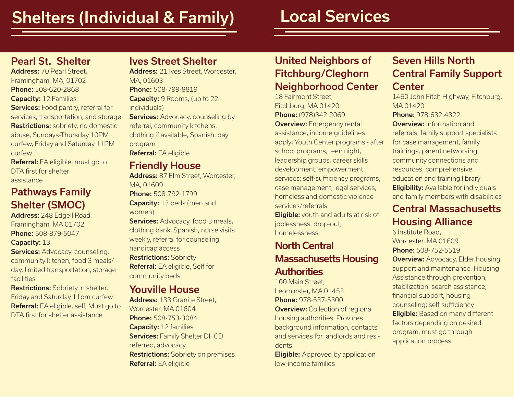## Shelters (Individual & Family)

## Local Services

#### Pearl St. Shelter

Address: 70 Pearl Street, Framingham, MA, 01702 Phone: 508-620-2868 Capacity: 12 Families Services: Food pantry, referral for services, transportation, and storage **Restrictions:** sobriety, no domestic abuse, Sundays-Thursday 10PM curfew, Friday and Saturday 11PM curfew

Referral: EA eligible, must go to DTA first for shelter assistance

#### Pathways Family Shelter (SMOC)

Address: 248 Edgell Road, Framingham, MA 01702 Phone: 508-879-5047

#### Capacity: 13

**Services: Advocacy, counseling,** community kitchen, food 3 meals/ day, limited transportation, storage facilities

Restrictions: Sobriety in shelter, Friday and Saturday 11pm curfew Referral: EA eligible, self, Must go to DTA first for shelter assistance

#### Ives Street Shelter

Address: 21 Ives Street, Worcester, MA, 01603 Phone: 508-799-8819 Capacity: 9 Rooms, (up to 22 individuals) **Services: Advocacy, counseling by** referral, community kitchens,

clothing if available, Spanish, day program Referral: EA eligible

#### Friendly House

Address: 87 Elm Street, Worcester, MA, 01609

Phone: 508-792-1799 Capacity: 13 beds (men and women)

Services: Advocacy, food 3 meals, clothing bank, Spanish, nurse visits weekly, referral for counseling, handicap access

Restrictions: Sobriety Referral: EA eligible, Self for community beds

#### Youville House

Address: 133 Granite Street, Worcester, MA 01604 Phone: 508-753-3084 Capacity: 12 families **Services: Family Shelter DHCD** referred, advocacy **Restrictions:** Sobriety on premises Referral: EA eligible

#### United Neighbors of Fitchburg/Cleghorn Neighborhood Center

18 Fairmont Street, Fitchburg, MA 01420 Phone: (978)342-2069 **Overview:** Emergency rental assistance, income guidelines apply; Youth Center programs - after school programs, teen night, leadership groups, career skills development; empowerment services; self-sufficiency programs, case management, legal services, homeless and domestic violence services/referrals

**Eligible:** youth and adults at risk of joblessness, drop-out, homelessness

#### North Central Massachusetts Housing **Authorities**

100 Main Street, Leominster, MA 01453 Phone: 978-537-5300 **Overview:** Collection of regional housing authorities. Provides background information, contacts, and services for landlords and residents.

**Eligible:** Approved by application low-income families

#### Seven Hills North Central Family Support **Center**

1460 John Fitch Highway, Fitchburg, MA 01420 Phone: 978-632-4322 Overview: Information and referrals, family support specialists for case management, family trainings, parent networking, community connections and resources, comprehensive education and training library **Eligibility:** Available for individuals and family members with disabilities

#### Central Massachusetts Housing Alliance

6 Institute Road, Worcester, MA 01609 Phone: 508-752-5519 **Overview: Advocacy, Elder housing** support and maintenance, Housing Assistance through prevention, stabilization, search assistance; financial support, housing counseling; self-sufficiency Eligible: Based on many different factors depending on desired program, must go through application process.